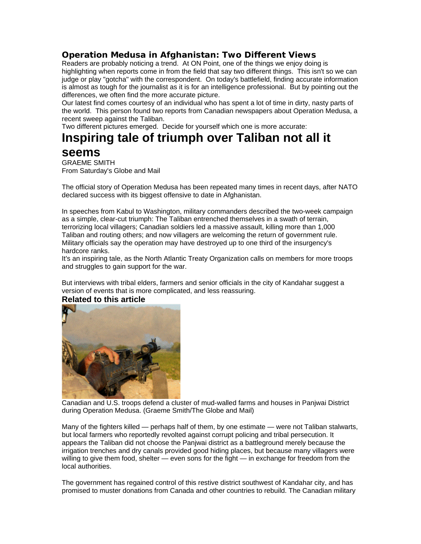## **Operation Medusa in Afghanistan: Two Different Views**

Readers are probably noticing a trend. At ON Point, one of the things we enjoy doing is highlighting when reports come in from the field that say two different things. This isn't so we can judge or play "gotcha" with the correspondent. On today's battlefield, finding accurate information is almost as tough for the journalist as it is for an intelligence professional. But by pointing out the differences, we often find the more accurate picture.

Our latest find comes courtesy of an individual who has spent a lot of time in dirty, nasty parts of the world. This person found two reports from Canadian newspapers about Operation Medusa, a recent sweep against the Taliban.

Two different pictures emerged. Decide for yourself which one is more accurate:

# **Inspiring tale of triumph over Taliban not all it seems**

GRAEME SMITH From Saturday's Globe and Mail

The official story of Operation Medusa has been repeated many times in recent days, after NATO declared success with its biggest offensive to date in Afghanistan.

In speeches from Kabul to Washington, military commanders described the two-week campaign as a simple, clear-cut triumph: The Taliban entrenched themselves in a swath of terrain, terrorizing local villagers; Canadian soldiers led a massive assault, killing more than 1,000 Taliban and routing others; and now villagers are welcoming the return of government rule. Military officials say the operation may have destroyed up to one third of the insurgency's hardcore ranks.

It's an inspiring tale, as the North Atlantic Treaty Organization calls on members for more troops and struggles to gain support for the war.

But interviews with tribal elders, farmers and senior officials in the city of Kandahar suggest a version of events that is more complicated, and less reassuring.

## **Related to this article**



Canadian and U.S. troops defend a cluster of mud-walled farms and houses in Panjwai District during Operation Medusa. (Graeme Smith/The Globe and Mail)

Many of the fighters killed — perhaps half of them, by one estimate — were not Taliban stalwarts, but local farmers who reportedly revolted against corrupt policing and tribal persecution. It appears the Taliban did not choose the Panjwai district as a battleground merely because the irrigation trenches and dry canals provided good hiding places, but because many villagers were willing to give them food, shelter — even sons for the fight — in exchange for freedom from the local authorities.

The government has regained control of this restive district southwest of Kandahar city, and has promised to muster donations from Canada and other countries to rebuild. The Canadian military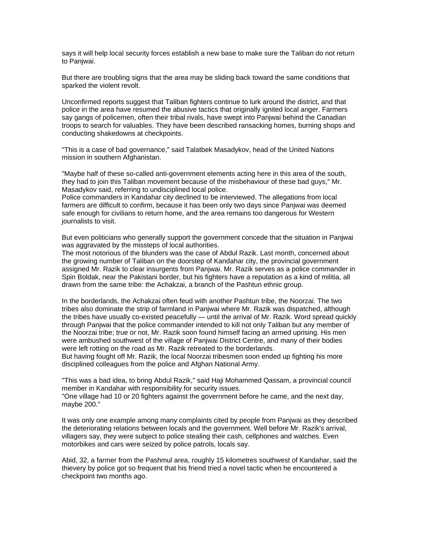says it will help local security forces establish a new base to make sure the Taliban do not return to Panjwai.

But there are troubling signs that the area may be sliding back toward the same conditions that sparked the violent revolt.

Unconfirmed reports suggest that Taliban fighters continue to lurk around the district, and that police in the area have resumed the abusive tactics that originally ignited local anger. Farmers say gangs of policemen, often their tribal rivals, have swept into Panjwai behind the Canadian troops to search for valuables. They have been described ransacking homes, burning shops and conducting shakedowns at checkpoints.

"This is a case of bad governance," said Talatbek Masadykov, head of the United Nations mission in southern Afghanistan.

"Maybe half of these so-called anti-government elements acting here in this area of the south, they had to join this Taliban movement because of the misbehaviour of these bad guys," Mr. Masadykov said, referring to undisciplined local police.

Police commanders in Kandahar city declined to be interviewed. The allegations from local farmers are difficult to confirm, because it has been only two days since Panjwai was deemed safe enough for civilians to return home, and the area remains too dangerous for Western journalists to visit.

But even politicians who generally support the government concede that the situation in Panjwai was aggravated by the missteps of local authorities.

The most notorious of the blunders was the case of Abdul Razik. Last month, concerned about the growing number of Taliban on the doorstep of Kandahar city, the provincial government assigned Mr. Razik to clear insurgents from Panjwai. Mr. Razik serves as a police commander in Spin Boldak, near the Pakistani border, but his fighters have a reputation as a kind of militia, all drawn from the same tribe: the Achakzai, a branch of the Pashtun ethnic group.

In the borderlands, the Achakzai often feud with another Pashtun tribe, the Noorzai. The two tribes also dominate the strip of farmland in Panjwai where Mr. Razik was dispatched, although the tribes have usually co-existed peacefully — until the arrival of Mr. Razik. Word spread quickly through Panjwai that the police commander intended to kill not only Taliban but any member of the Noorzai tribe; true or not, Mr. Razik soon found himself facing an armed uprising. His men were ambushed southwest of the village of Panjwai District Centre, and many of their bodies were left rotting on the road as Mr. Razik retreated to the borderlands.

But having fought off Mr. Razik, the local Noorzai tribesmen soon ended up fighting his more disciplined colleagues from the police and Afghan National Army.

"This was a bad idea, to bring Abdul Razik," said Haji Mohammed Qassam, a provincial council member in Kandahar with responsibility for security issues.

"One village had 10 or 20 fighters against the government before he came, and the next day, maybe 200."

It was only one example among many complaints cited by people from Panjwai as they described the deteriorating relations between locals and the government. Well before Mr. Razik's arrival, villagers say, they were subject to police stealing their cash, cellphones and watches. Even motorbikes and cars were seized by police patrols, locals say.

Abid, 32, a farmer from the Pashmul area, roughly 15 kilometres southwest of Kandahar, said the thievery by police got so frequent that his friend tried a novel tactic when he encountered a checkpoint two months ago.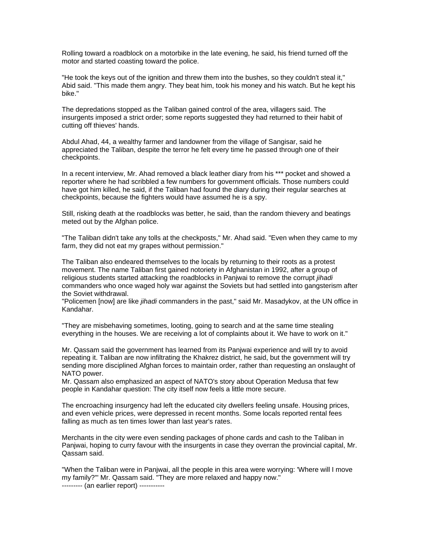Rolling toward a roadblock on a motorbike in the late evening, he said, his friend turned off the motor and started coasting toward the police.

"He took the keys out of the ignition and threw them into the bushes, so they couldn't steal it," Abid said. "This made them angry. They beat him, took his money and his watch. But he kept his bike."

The depredations stopped as the Taliban gained control of the area, villagers said. The insurgents imposed a strict order; some reports suggested they had returned to their habit of cutting off thieves' hands.

Abdul Ahad, 44, a wealthy farmer and landowner from the village of Sangisar, said he appreciated the Taliban, despite the terror he felt every time he passed through one of their checkpoints.

In a recent interview, Mr. Ahad removed a black leather diary from his \*\*\* pocket and showed a reporter where he had scribbled a few numbers for government officials. Those numbers could have got him killed, he said, if the Taliban had found the diary during their regular searches at checkpoints, because the fighters would have assumed he is a spy.

Still, risking death at the roadblocks was better, he said, than the random thievery and beatings meted out by the Afghan police.

"The Taliban didn't take any tolls at the checkposts," Mr. Ahad said. "Even when they came to my farm, they did not eat my grapes without permission."

The Taliban also endeared themselves to the locals by returning to their roots as a protest movement. The name Taliban first gained notoriety in Afghanistan in 1992, after a group of religious students started attacking the roadblocks in Panjwai to remove the corrupt *jihadi* commanders who once waged holy war against the Soviets but had settled into gangsterism after the Soviet withdrawal.

"Policemen [now] are like *jihadi* commanders in the past," said Mr. Masadykov, at the UN office in Kandahar.

"They are misbehaving sometimes, looting, going to search and at the same time stealing everything in the houses. We are receiving a lot of complaints about it. We have to work on it."

Mr. Qassam said the government has learned from its Panjwai experience and will try to avoid repeating it. Taliban are now infiltrating the Khakrez district, he said, but the government will try sending more disciplined Afghan forces to maintain order, rather than requesting an onslaught of NATO power.

Mr. Qassam also emphasized an aspect of NATO's story about Operation Medusa that few people in Kandahar question: The city itself now feels a little more secure.

The encroaching insurgency had left the educated city dwellers feeling unsafe. Housing prices, and even vehicle prices, were depressed in recent months. Some locals reported rental fees falling as much as ten times lower than last year's rates.

Merchants in the city were even sending packages of phone cards and cash to the Taliban in Panjwai, hoping to curry favour with the insurgents in case they overran the provincial capital, Mr. Qassam said.

"When the Taliban were in Panjwai, all the people in this area were worrying: 'Where will I move my family?'" Mr. Qassam said. "They are more relaxed and happy now." --------- (an earlier report) -----------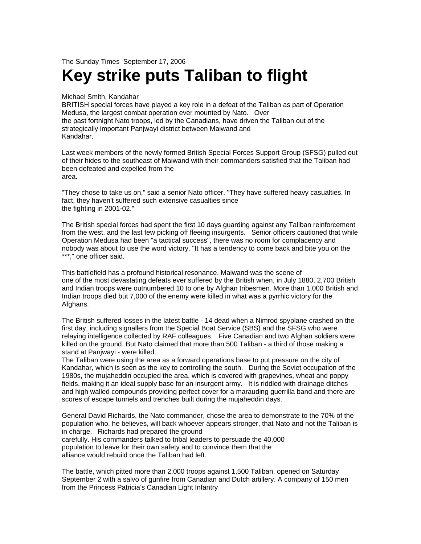The Sunday Times September 17, 2006

# **Key strike puts Taliban to flight**

#### Michael Smith, Kandahar

BRITISH special forces have played a key role in a defeat of the Taliban as part of Operation Medusa, the largest combat operation ever mounted by Nato. Over the past fortnight Nato troops, led by the Canadians, have driven the Taliban out of the strategically important Panjwayi district between Maiwand and Kandahar.

Last week members of the newly formed British Special Forces Support Group (SFSG) pulled out of their hides to the southeast of Maiwand with their commanders satisfied that the Taliban had been defeated and expelled from the area.

"They chose to take us on," said a senior Nato officer. "They have suffered heavy casualties. In fact, they haven't suffered such extensive casualties since the fighting in 2001-02."

The British special forces had spent the first 10 days guarding against any Taliban reinforcement from the west, and the last few picking off fleeing insurgents. Senior officers cautioned that while Operation Medusa had been "a tactical success", there was no room for complacency and nobody was about to use the word victory. "It has a tendency to come back and bite you on the \*\*\*," one officer said.

This battlefield has a profound historical resonance. Maiwand was the scene of one of the most devastating defeats ever suffered by the British when, in July 1880, 2,700 British and Indian troops were outnumbered 10 to one by Afghan tribesmen. More than 1,000 British and Indian troops died but 7,000 of the enemy were killed in what was a pyrrhic victory for the Afghans.

The British suffered losses in the latest battle - 14 dead when a Nimrod spyplane crashed on the first day, including signallers from the Special Boat Service (SBS) and the SFSG who were relaying intelligence collected by RAF colleagues. Five Canadian and two Afghan soldiers were killed on the ground. But Nato claimed that more than 500 Taliban - a third of those making a stand at Panjwayi - were killed.

The Taliban were using the area as a forward operations base to put pressure on the city of Kandahar, which is seen as the key to controlling the south. During the Soviet occupation of the 1980s, the mujaheddin occupied the area, which is covered with grapevines, wheat and poppy fields, making it an ideal supply base for an insurgent army. It is riddled with drainage ditches and high walled compounds providing perfect cover for a marauding guerrilla band and there are scores of escape tunnels and trenches built during the mujaheddin days.

General David Richards, the Nato commander, chose the area to demonstrate to the 70% of the population who, he believes, will back whoever appears stronger, that Nato and not the Taliban is in charge. Richards had prepared the ground carefully. His commanders talked to tribal leaders to persuade the 40,000 population to leave for their own safety and to convince them that the alliance would rebuild once the Taliban had left.

The battle, which pitted more than 2,000 troops against 1,500 Taliban, opened on Saturday September 2 with a salvo of gunfire from Canadian and Dutch artillery. A company of 150 men from the Princess Patricia's Canadian Light Infantry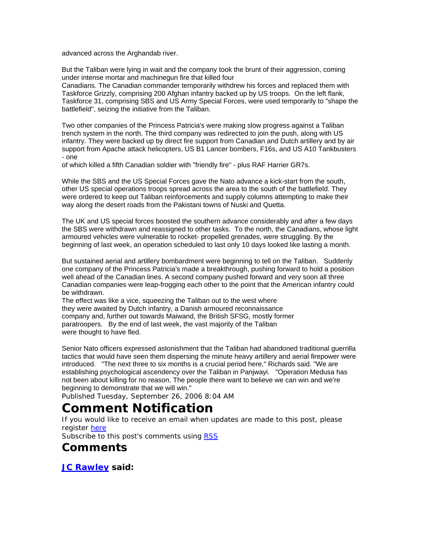advanced across the Arghandab river.

But the Taliban were lying in wait and the company took the brunt of their aggression, coming under intense mortar and machinegun fire that killed four

Canadians. The Canadian commander temporarily withdrew his forces and replaced them with Taskforce Grizzly, comprising 200 Afghan infantry backed up by US troops. On the left flank, Taskforce 31, comprising SBS and US Army Special Forces, were used temporarily to "shape the battlefield", seizing the initiative from the Taliban.

Two other companies of the Princess Patricia's were making slow progress against a Taliban trench system in the north. The third company was redirected to join the push, along with US infantry. They were backed up by direct fire support from Canadian and Dutch artillery and by air support from Apache attack helicopters, US B1 Lancer bombers, F16s, and US A10 Tankbusters - one

of which killed a fifth Canadian soldier with "friendly fire" - plus RAF Harrier GR7s.

While the SBS and the US Special Forces gave the Nato advance a kick-start from the south, other US special operations troops spread across the area to the south of the battlefield. They were ordered to keep out Taliban reinforcements and supply columns attempting to make their way along the desert roads from the Pakistani towns of Nuski and Quetta.

The UK and US special forces boosted the southern advance considerably and after a few days the SBS were withdrawn and reassigned to other tasks. To the north, the Canadians, whose light armoured vehicles were vulnerable to rocket- propelled grenades, were struggling. By the beginning of last week, an operation scheduled to last only 10 days looked like lasting a month.

But sustained aerial and artillery bombardment were beginning to tell on the Taliban. Suddenly one company of the Princess Patricia's made a breakthrough, pushing forward to hold a position well ahead of the Canadian lines. A second company pushed forward and very soon all three Canadian companies were leap-frogging each other to the point that the American infantry could be withdrawn.

The effect was like a vice, squeezing the Taliban out to the west where they were awaited by Dutch infantry, a Danish armoured reconnaissance company and, further out towards Maiwand, the British SFSG, mostly former paratroopers. By the end of last week, the vast majority of the Taliban were thought to have fled.

Senior Nato officers expressed astonishment that the Taliban had abandoned traditional guerrilla tactics that would have seen them dispersing the minute heavy artillery and aerial firepower were introduced. "The next three to six months is a crucial period here," Richards said. "We are establishing psychological ascendency over the Taliban in Panjwayi. "Operation Medusa has not been about killing for no reason. The people there want to believe we can win and we're beginning to demonstrate that we will win."

Published Tuesday, September 26, 2006 8:04 AM

## **Comment Notification**

If you would like to receive an email when updates are made to this post, please register here

Subscribe to this post's comments using [RSS](http://uscavonpoint.com/blogs/reconstructing_iraq/commentrss.aspx?PostID=173)

## **Comments**

**[JC Rawley](http://uscavonpoint.com/user/Profile.aspx?UserID=2101) said:**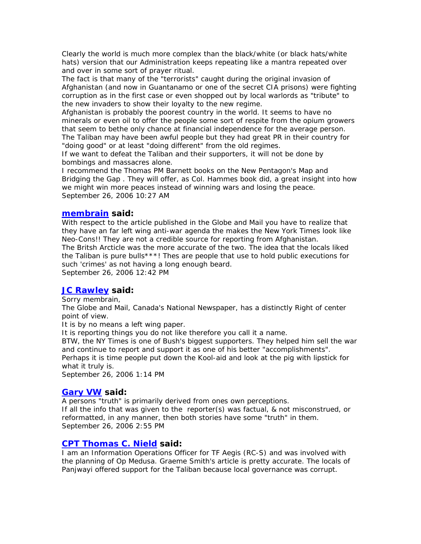Clearly the world is much more complex than the black/white (or black hats/white hats) version that our Administration keeps repeating like a mantra repeated over and over in some sort of prayer ritual.

The fact is that many of the "terrorists" caught during the original invasion of Afghanistan (and now in Guantanamo or one of the secret CIA prisons) were fighting corruption as in the first case or even shopped out by local warlords as "tribute" to the new invaders to show their loyalty to the new regime.

Afghanistan is probably the poorest country in the world. It seems to have no minerals or even oil to offer the people some sort of respite from the opium growers that seem to bethe only chance at financial independence for the average person. The Taliban may have been awful people but they had great PR in their country for "doing good" or at least "doing different" from the old regimes.

If we want to defeat the Taliban and their supporters, it will not be done by bombings and massacres alone.

I recommend the Thomas PM Barnett books on the New Pentagon's Map and Bridging the Gap . They will offer, as Col. Hammes book did, a great insight into how we might win more peaces instead of winning wars and losing the peace. September 26, 2006 10:27 AM

### **[membrain](http://uscavonpoint.com/utility/Redirect.aspx?U=http%3a%2f%2fmembrain.blogspot.com%2f) said:**

With respect to the article published in the Globe and Mail you have to realize that they have an far left wing anti-war agenda the makes the New York Times look like Neo-Cons!! They are not a credible source for reporting from Afghanistan.

The Britsh Arcticle was the more accurate of the two. The idea that the locals liked the Taliban is pure bulls\*\*\*! Thes are people that use to hold public executions for such 'crimes' as not having a long enough beard.

September 26, 2006 12:42 PM

## **[JC Rawley](http://uscavonpoint.com/user/Profile.aspx?UserID=2101) said:**

Sorry membrain,

The Globe and Mail, Canada's National Newspaper, has a distinctly Right of center point of view.

It is by no means a left wing paper.

It is reporting things you do not like therefore you call it a name.

BTW, the NY Times is one of Bush's biggest supporters. They helped him sell the war and continue to report and support it as one of his better "accomplishments". Perhaps it is time people put down the Kool-aid and look at the pig with lipstick for what it truly is.

September 26, 2006 1:14 PM

## **[Gary VW](http://uscavonpoint.com/user/Profile.aspx?UserID=2101) said:**

A persons "truth" is primarily derived from ones own perceptions.

If all the info that was given to the reporter(s) was factual, & not misconstrued, or reformatted, in any manner, then both stories have some "truth" in them. September 26, 2006 2:55 PM

## **[CPT Thomas C.](http://uscavonpoint.com/user/Profile.aspx?UserID=2101) [Nield](http://uscavonpoint.com/user/Profile.aspx?UserID=2101) said:**

I am an Information Operations Officer for TF Aegis (RC-S) and was involved with the planning of Op Medusa. Graeme Smith's article is pretty accurate. The locals of Panjwayi offered support for the Taliban because local governance was corrupt.